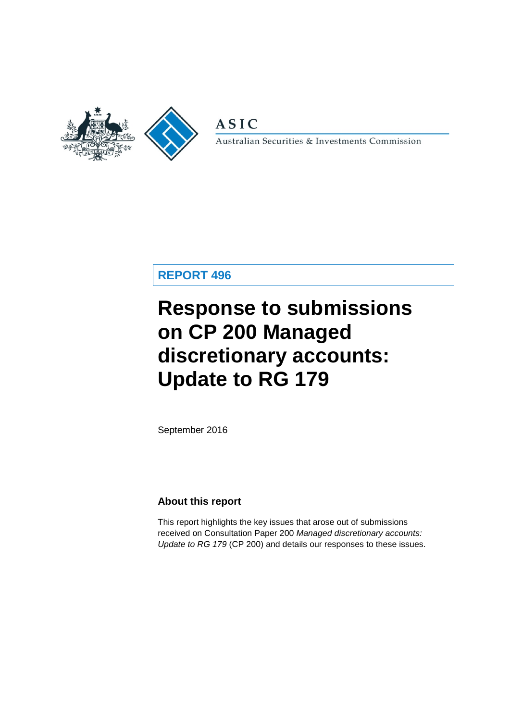

**ASIC** 

Australian Securities & Investments Commission

# **REPORT 496**

# **Response to submissions on CP 200 Managed discretionary accounts: Update to RG 179**

September 2016

### **About this report**

This report highlights the key issues that arose out of submissions received on Consultation Paper 200 *Managed discretionary accounts: Update to RG 179* (CP 200) and details our responses to these issues.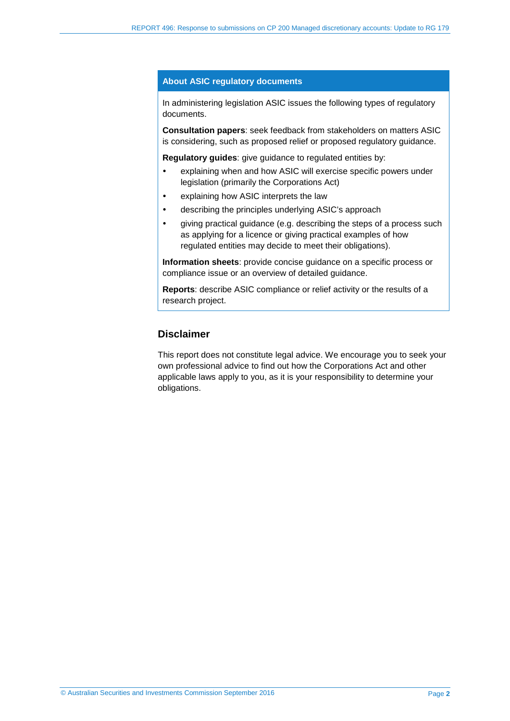#### **About ASIC regulatory documents**

In administering legislation ASIC issues the following types of regulatory documents.

**Consultation papers**: seek feedback from stakeholders on matters ASIC is considering, such as proposed relief or proposed regulatory guidance.

**Regulatory guides**: give guidance to regulated entities by:

- explaining when and how ASIC will exercise specific powers under legislation (primarily the Corporations Act)
- explaining how ASIC interprets the law
- describing the principles underlying ASIC's approach
- giving practical guidance (e.g. describing the steps of a process such as applying for a licence or giving practical examples of how regulated entities may decide to meet their obligations).

**Information sheets**: provide concise guidance on a specific process or compliance issue or an overview of detailed guidance.

**Reports**: describe ASIC compliance or relief activity or the results of a research project.

### **Disclaimer**

This report does not constitute legal advice. We encourage you to seek your own professional advice to find out how the Corporations Act and other applicable laws apply to you, as it is your responsibility to determine your obligations.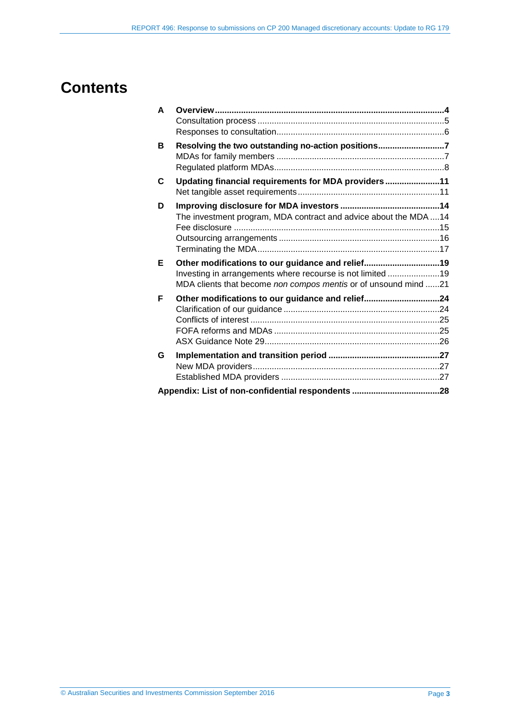# **Contents**

| A |                                                                  |  |
|---|------------------------------------------------------------------|--|
|   |                                                                  |  |
|   |                                                                  |  |
| в | Resolving the two outstanding no-action positions7               |  |
|   |                                                                  |  |
|   |                                                                  |  |
| C | Updating financial requirements for MDA providers11              |  |
|   |                                                                  |  |
| D |                                                                  |  |
|   | The investment program, MDA contract and advice about the MDA 14 |  |
|   |                                                                  |  |
|   |                                                                  |  |
|   |                                                                  |  |
|   |                                                                  |  |
| Е | Other modifications to our guidance and relief19                 |  |
|   | Investing in arrangements where recourse is not limited 19       |  |
|   | MDA clients that become non compos mentis or of unsound mind 21  |  |
| F |                                                                  |  |
|   | Other modifications to our guidance and relief24                 |  |
|   |                                                                  |  |
|   |                                                                  |  |
|   |                                                                  |  |
| G |                                                                  |  |
|   |                                                                  |  |
|   |                                                                  |  |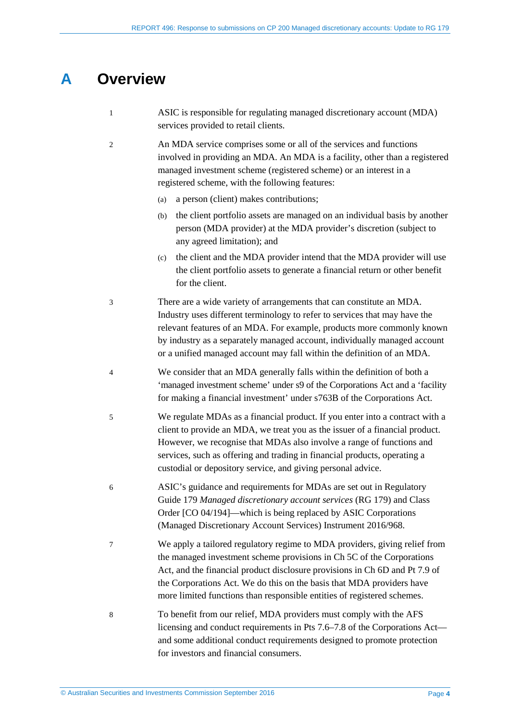# <span id="page-3-0"></span>**A Overview**

| $\mathbf{1}$   | ASIC is responsible for regulating managed discretionary account (MDA)<br>services provided to retail clients.                                                                                                                                                                                                                                                                         |
|----------------|----------------------------------------------------------------------------------------------------------------------------------------------------------------------------------------------------------------------------------------------------------------------------------------------------------------------------------------------------------------------------------------|
| $\overline{c}$ | An MDA service comprises some or all of the services and functions<br>involved in providing an MDA. An MDA is a facility, other than a registered<br>managed investment scheme (registered scheme) or an interest in a<br>registered scheme, with the following features:                                                                                                              |
|                | a person (client) makes contributions;<br>(a)                                                                                                                                                                                                                                                                                                                                          |
|                | the client portfolio assets are managed on an individual basis by another<br>(b)<br>person (MDA provider) at the MDA provider's discretion (subject to<br>any agreed limitation); and                                                                                                                                                                                                  |
|                | the client and the MDA provider intend that the MDA provider will use<br>(c)<br>the client portfolio assets to generate a financial return or other benefit<br>for the client.                                                                                                                                                                                                         |
| $\mathfrak{Z}$ | There are a wide variety of arrangements that can constitute an MDA.<br>Industry uses different terminology to refer to services that may have the<br>relevant features of an MDA. For example, products more commonly known<br>by industry as a separately managed account, individually managed account<br>or a unified managed account may fall within the definition of an MDA.    |
| $\overline{4}$ | We consider that an MDA generally falls within the definition of both a<br>'managed investment scheme' under s9 of the Corporations Act and a 'facility<br>for making a financial investment' under s763B of the Corporations Act.                                                                                                                                                     |
| 5              | We regulate MDAs as a financial product. If you enter into a contract with a<br>client to provide an MDA, we treat you as the issuer of a financial product.<br>However, we recognise that MDAs also involve a range of functions and<br>services, such as offering and trading in financial products, operating a<br>custodial or depository service, and giving personal advice.     |
| 6              | ASIC's guidance and requirements for MDAs are set out in Regulatory<br>Guide 179 Managed discretionary account services (RG 179) and Class<br>Order [CO 04/194]—which is being replaced by ASIC Corporations<br>(Managed Discretionary Account Services) Instrument 2016/968.                                                                                                          |
| 7              | We apply a tailored regulatory regime to MDA providers, giving relief from<br>the managed investment scheme provisions in Ch 5C of the Corporations<br>Act, and the financial product disclosure provisions in Ch 6D and Pt 7.9 of<br>the Corporations Act. We do this on the basis that MDA providers have<br>more limited functions than responsible entities of registered schemes. |
| 8              | To benefit from our relief, MDA providers must comply with the AFS<br>licensing and conduct requirements in Pts 7.6–7.8 of the Corporations Act—<br>and some additional conduct requirements designed to promote protection<br>for investors and financial consumers.                                                                                                                  |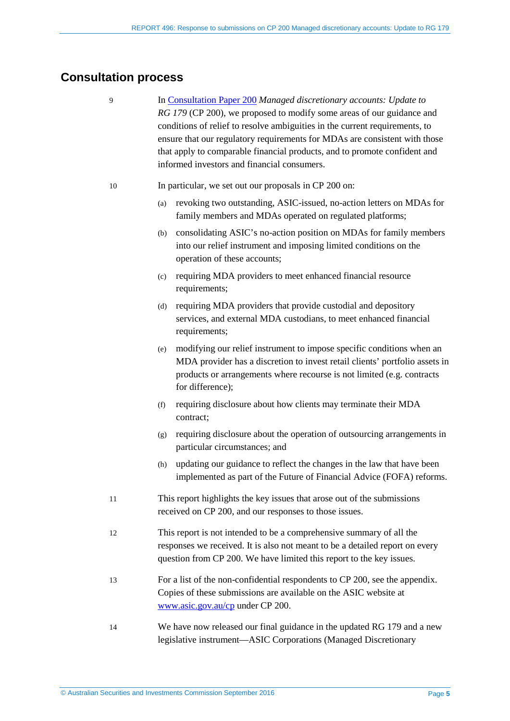# <span id="page-4-0"></span>**Consultation process**

- 9 In [Consultation Paper 200](http://asic.gov.au/regulatory-resources/find-a-document/consultation-papers/cp-200-managed-discretionary-accounts-updates-to-rg-179/) *Managed discretionary accounts: Update to RG 179* (CP 200), we proposed to modify some areas of our guidance and conditions of relief to resolve ambiguities in the current requirements, to ensure that our regulatory requirements for MDAs are consistent with those that apply to comparable financial products, and to promote confident and informed investors and financial consumers.
- 10 In particular, we set out our proposals in CP 200 on:
	- (a) revoking two outstanding, ASIC-issued, no-action letters on MDAs for family members and MDAs operated on regulated platforms;
	- (b) consolidating ASIC's no-action position on MDAs for family members into our relief instrument and imposing limited conditions on the operation of these accounts;
	- (c) requiring MDA providers to meet enhanced financial resource requirements:
	- (d) requiring MDA providers that provide custodial and depository services, and external MDA custodians, to meet enhanced financial requirements;
	- (e) modifying our relief instrument to impose specific conditions when an MDA provider has a discretion to invest retail clients' portfolio assets in products or arrangements where recourse is not limited (e.g. contracts for difference);
	- (f) requiring disclosure about how clients may terminate their MDA contract;
	- (g) requiring disclosure about the operation of outsourcing arrangements in particular circumstances; and
	- (h) updating our guidance to reflect the changes in the law that have been implemented as part of the Future of Financial Advice (FOFA) reforms.
- 11 This report highlights the key issues that arose out of the submissions received on CP 200, and our responses to those issues.
- 12 This report is not intended to be a comprehensive summary of all the responses we received. It is also not meant to be a detailed report on every question from CP 200. We have limited this report to the key issues.
- 13 For a list of the non-confidential respondents to CP 200, see the appendix. Copies of these submissions are available on the ASIC website at [www.asic.gov.au/cp](http://www.asic.gov.au/cp) under CP 200.
- 14 We have now released our final guidance in the updated RG 179 and a new legislative instrument—ASIC Corporations (Managed Discretionary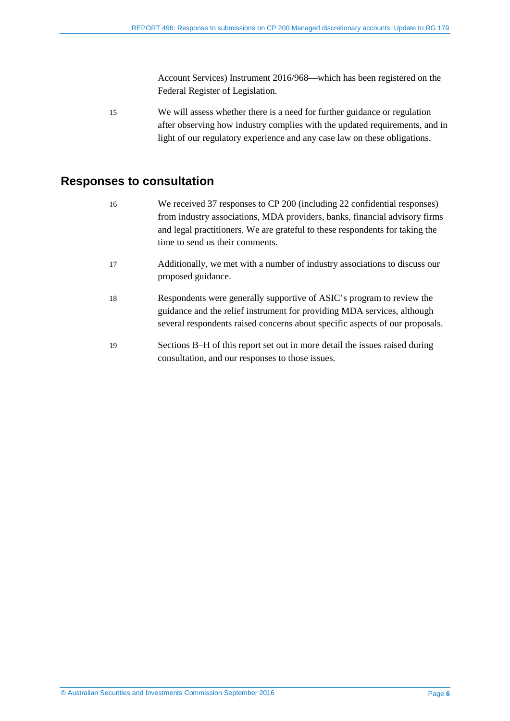Account Services) Instrument 2016/968—which has been registered on the Federal Register of Legislation.

15 We will assess whether there is a need for further guidance or regulation after observing how industry complies with the updated requirements, and in light of our regulatory experience and any case law on these obligations.

### <span id="page-5-0"></span>**Responses to consultation**

- 16 We received 37 responses to CP 200 (including 22 confidential responses) from industry associations, MDA providers, banks, financial advisory firms and legal practitioners. We are grateful to these respondents for taking the time to send us their comments.
- 17 Additionally, we met with a number of industry associations to discuss our proposed guidance.
- 18 Respondents were generally supportive of ASIC's program to review the guidance and the relief instrument for providing MDA services, although several respondents raised concerns about specific aspects of our proposals.
- 19 Sections B–H of this report set out in more detail the issues raised during consultation, and our responses to those issues.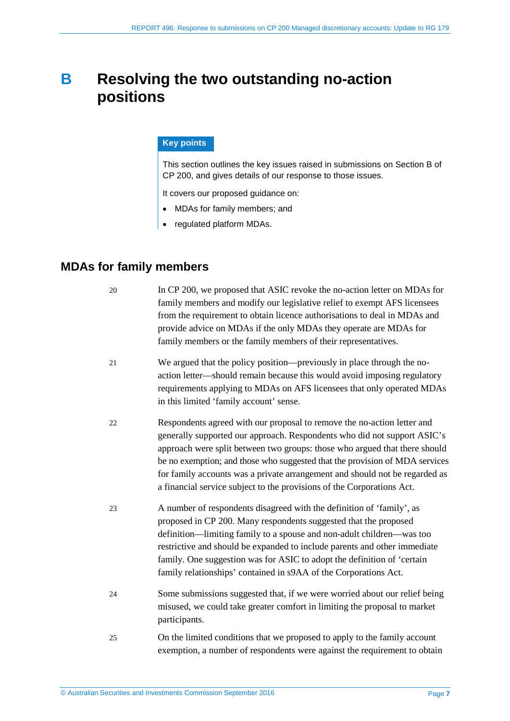# <span id="page-6-0"></span>**B Resolving the two outstanding no-action positions**

#### **Key points**

This section outlines the key issues raised in submissions on Section B of CP 200, and gives details of our response to those issues.

It covers our proposed guidance on:

- MDAs for family members; and
- regulated platform MDAs.

# <span id="page-6-1"></span>**MDAs for family members**

- 20 In CP 200, we proposed that ASIC revoke the no-action letter on MDAs for family members and modify our legislative relief to exempt AFS licensees from the requirement to obtain licence authorisations to deal in MDAs and provide advice on MDAs if the only MDAs they operate are MDAs for family members or the family members of their representatives.
- 21 We argued that the policy position—previously in place through the noaction letter—should remain because this would avoid imposing regulatory requirements applying to MDAs on AFS licensees that only operated MDAs in this limited 'family account' sense.
- 22 Respondents agreed with our proposal to remove the no-action letter and generally supported our approach. Respondents who did not support ASIC's approach were split between two groups: those who argued that there should be no exemption; and those who suggested that the provision of MDA services for family accounts was a private arrangement and should not be regarded as a financial service subject to the provisions of the Corporations Act.
- 23 A number of respondents disagreed with the definition of 'family', as proposed in CP 200. Many respondents suggested that the proposed definition—limiting family to a spouse and non-adult children—was too restrictive and should be expanded to include parents and other immediate family. One suggestion was for ASIC to adopt the definition of 'certain family relationships' contained in s9AA of the Corporations Act.
- 24 Some submissions suggested that, if we were worried about our relief being misused, we could take greater comfort in limiting the proposal to market participants.
- 25 On the limited conditions that we proposed to apply to the family account exemption, a number of respondents were against the requirement to obtain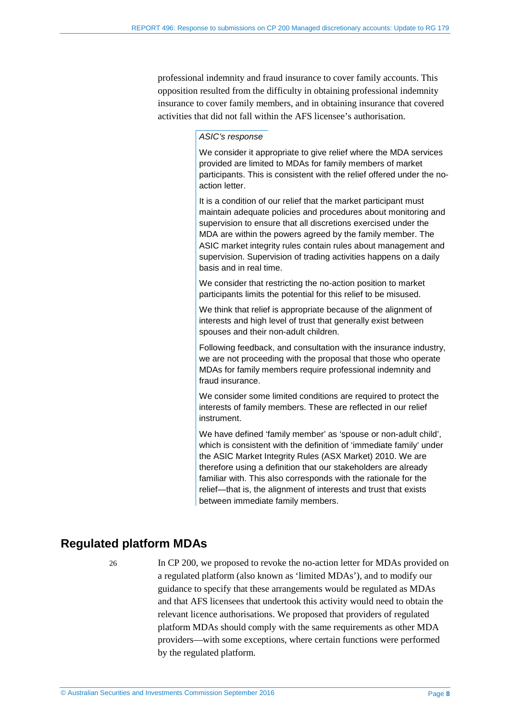professional indemnity and fraud insurance to cover family accounts. This opposition resulted from the difficulty in obtaining professional indemnity insurance to cover family members, and in obtaining insurance that covered activities that did not fall within the AFS licensee's authorisation.

#### *ASIC's response*

We consider it appropriate to give relief where the MDA services provided are limited to MDAs for family members of market participants. This is consistent with the relief offered under the noaction letter.

It is a condition of our relief that the market participant must maintain adequate policies and procedures about monitoring and supervision to ensure that all discretions exercised under the MDA are within the powers agreed by the family member. The ASIC market integrity rules contain rules about management and supervision. Supervision of trading activities happens on a daily basis and in real time.

We consider that restricting the no-action position to market participants limits the potential for this relief to be misused.

We think that relief is appropriate because of the alignment of interests and high level of trust that generally exist between spouses and their non-adult children.

Following feedback, and consultation with the insurance industry, we are not proceeding with the proposal that those who operate MDAs for family members require professional indemnity and fraud insurance.

We consider some limited conditions are required to protect the interests of family members. These are reflected in our relief instrument.

We have defined 'family member' as 'spouse or non-adult child', which is consistent with the definition of 'immediate family' under the ASIC Market Integrity Rules (ASX Market) 2010. We are therefore using a definition that our stakeholders are already familiar with. This also corresponds with the rationale for the relief—that is, the alignment of interests and trust that exists between immediate family members.

# <span id="page-7-0"></span>**Regulated platform MDAs**

26 In CP 200, we proposed to revoke the no-action letter for MDAs provided on a regulated platform (also known as 'limited MDAs'), and to modify our guidance to specify that these arrangements would be regulated as MDAs and that AFS licensees that undertook this activity would need to obtain the relevant licence authorisations. We proposed that providers of regulated platform MDAs should comply with the same requirements as other MDA providers—with some exceptions, where certain functions were performed by the regulated platform.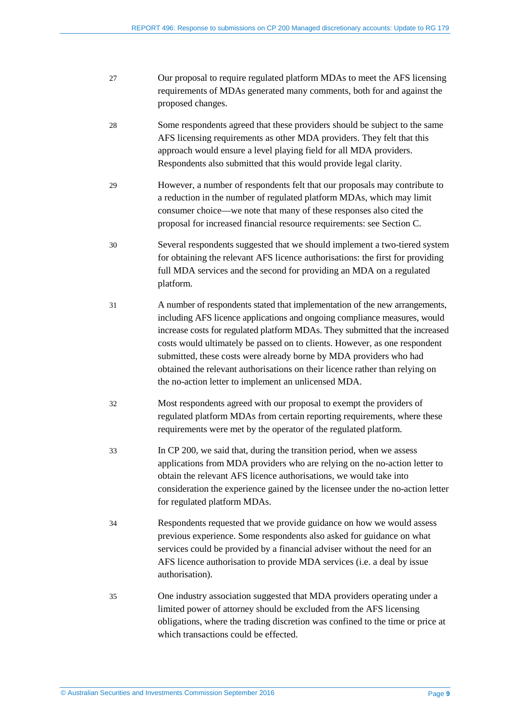- 27 Our proposal to require regulated platform MDAs to meet the AFS licensing requirements of MDAs generated many comments, both for and against the proposed changes.
- 28 Some respondents agreed that these providers should be subject to the same AFS licensing requirements as other MDA providers. They felt that this approach would ensure a level playing field for all MDA providers. Respondents also submitted that this would provide legal clarity.
- 29 However, a number of respondents felt that our proposals may contribute to a reduction in the number of regulated platform MDAs, which may limit consumer choice—we note that many of these responses also cited the proposal for increased financial resource requirements: see Section C.
- 30 Several respondents suggested that we should implement a two-tiered system for obtaining the relevant AFS licence authorisations: the first for providing full MDA services and the second for providing an MDA on a regulated platform.
- 31 A number of respondents stated that implementation of the new arrangements, including AFS licence applications and ongoing compliance measures, would increase costs for regulated platform MDAs. They submitted that the increased costs would ultimately be passed on to clients. However, as one respondent submitted, these costs were already borne by MDA providers who had obtained the relevant authorisations on their licence rather than relying on the no-action letter to implement an unlicensed MDA.
- 32 Most respondents agreed with our proposal to exempt the providers of regulated platform MDAs from certain reporting requirements, where these requirements were met by the operator of the regulated platform.
- 33 In CP 200, we said that, during the transition period, when we assess applications from MDA providers who are relying on the no-action letter to obtain the relevant AFS licence authorisations, we would take into consideration the experience gained by the licensee under the no-action letter for regulated platform MDAs.
- 34 Respondents requested that we provide guidance on how we would assess previous experience. Some respondents also asked for guidance on what services could be provided by a financial adviser without the need for an AFS licence authorisation to provide MDA services (i.e. a deal by issue authorisation).
- 35 One industry association suggested that MDA providers operating under a limited power of attorney should be excluded from the AFS licensing obligations, where the trading discretion was confined to the time or price at which transactions could be effected.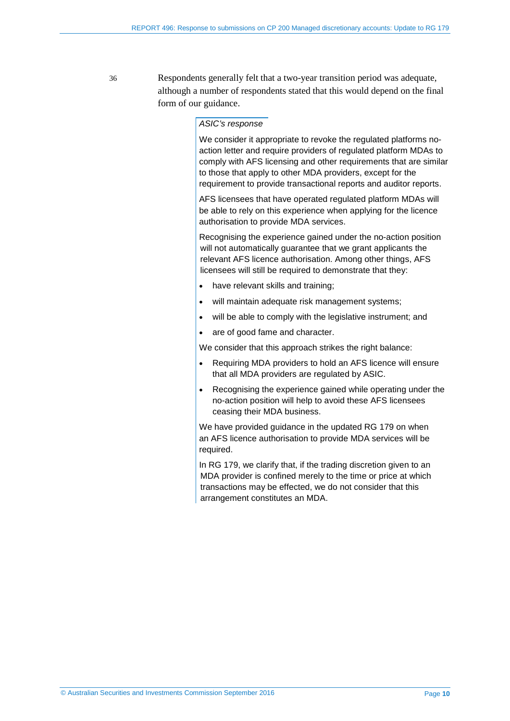36 Respondents generally felt that a two-year transition period was adequate, although a number of respondents stated that this would depend on the final form of our guidance.

#### *ASIC's response*

We consider it appropriate to revoke the regulated platforms noaction letter and require providers of regulated platform MDAs to comply with AFS licensing and other requirements that are similar to those that apply to other MDA providers, except for the requirement to provide transactional reports and auditor reports.

AFS licensees that have operated regulated platform MDAs will be able to rely on this experience when applying for the licence authorisation to provide MDA services.

Recognising the experience gained under the no-action position will not automatically guarantee that we grant applicants the relevant AFS licence authorisation. Among other things, AFS licensees will still be required to demonstrate that they:

- have relevant skills and training;
- will maintain adequate risk management systems;
- will be able to comply with the legislative instrument; and
- are of good fame and character.

We consider that this approach strikes the right balance:

- Requiring MDA providers to hold an AFS licence will ensure that all MDA providers are regulated by ASIC.
- Recognising the experience gained while operating under the no-action position will help to avoid these AFS licensees ceasing their MDA business.

We have provided guidance in the updated RG 179 on when an AFS licence authorisation to provide MDA services will be required.

In RG 179, we clarify that, if the trading discretion given to an MDA provider is confined merely to the time or price at which transactions may be effected, we do not consider that this arrangement constitutes an MDA.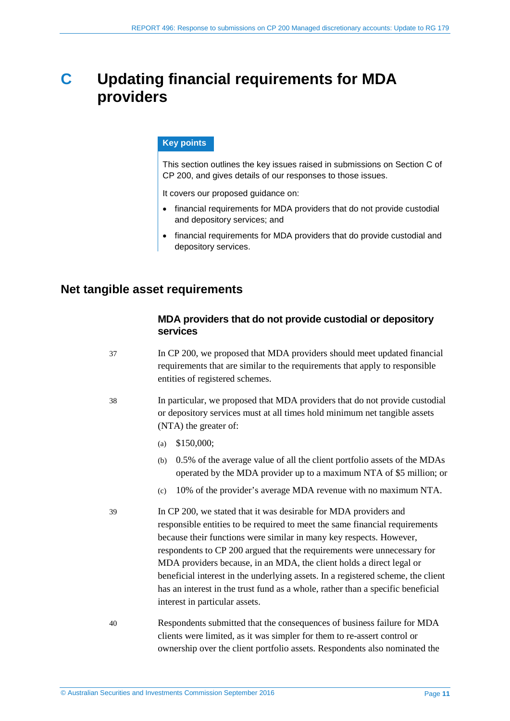# <span id="page-10-0"></span>**C Updating financial requirements for MDA providers**

#### **Key points**

This section outlines the key issues raised in submissions on Section C of CP 200, and gives details of our responses to those issues.

It covers our proposed quidance on:

- financial requirements for MDA providers that do not provide custodial and depository services; and
- financial requirements for MDA providers that do provide custodial and depository services.

### <span id="page-10-1"></span>**Net tangible asset requirements**

#### **MDA providers that do not provide custodial or depository services**

- 37 In CP 200, we proposed that MDA providers should meet updated financial requirements that are similar to the requirements that apply to responsible entities of registered schemes.
- 38 In particular, we proposed that MDA providers that do not provide custodial or depository services must at all times hold minimum net tangible assets (NTA) the greater of:
	- (a) \$150,000;
	- (b) 0.5% of the average value of all the client portfolio assets of the MDAs operated by the MDA provider up to a maximum NTA of \$5 million; or
	- (c) 10% of the provider's average MDA revenue with no maximum NTA.
- 39 In CP 200, we stated that it was desirable for MDA providers and responsible entities to be required to meet the same financial requirements because their functions were similar in many key respects. However, respondents to CP 200 argued that the requirements were unnecessary for MDA providers because, in an MDA, the client holds a direct legal or beneficial interest in the underlying assets. In a registered scheme, the client has an interest in the trust fund as a whole, rather than a specific beneficial interest in particular assets.
- 40 Respondents submitted that the consequences of business failure for MDA clients were limited, as it was simpler for them to re-assert control or ownership over the client portfolio assets. Respondents also nominated the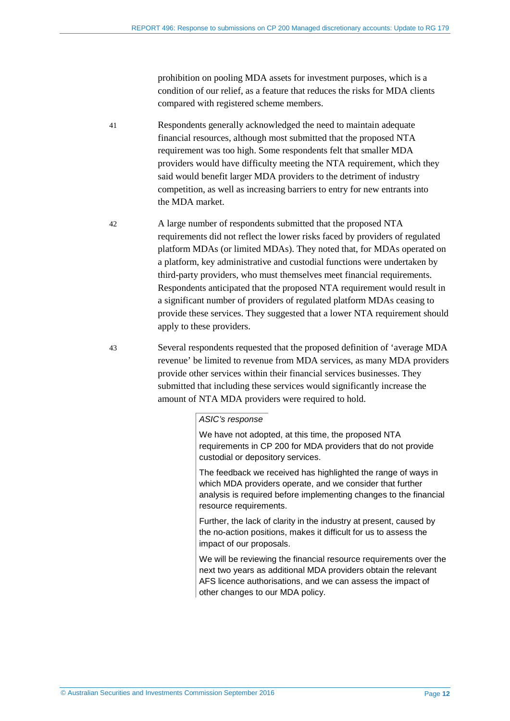prohibition on pooling MDA assets for investment purposes, which is a condition of our relief, as a feature that reduces the risks for MDA clients compared with registered scheme members.

- 41 Respondents generally acknowledged the need to maintain adequate financial resources, although most submitted that the proposed NTA requirement was too high. Some respondents felt that smaller MDA providers would have difficulty meeting the NTA requirement, which they said would benefit larger MDA providers to the detriment of industry competition, as well as increasing barriers to entry for new entrants into the MDA market.
- 42 A large number of respondents submitted that the proposed NTA requirements did not reflect the lower risks faced by providers of regulated platform MDAs (or limited MDAs). They noted that, for MDAs operated on a platform, key administrative and custodial functions were undertaken by third-party providers, who must themselves meet financial requirements. Respondents anticipated that the proposed NTA requirement would result in a significant number of providers of regulated platform MDAs ceasing to provide these services. They suggested that a lower NTA requirement should apply to these providers.
- 43 Several respondents requested that the proposed definition of 'average MDA revenue' be limited to revenue from MDA services, as many MDA providers provide other services within their financial services businesses. They submitted that including these services would significantly increase the amount of NTA MDA providers were required to hold.

#### *ASIC's response*

We have not adopted, at this time, the proposed NTA requirements in CP 200 for MDA providers that do not provide custodial or depository services.

The feedback we received has highlighted the range of ways in which MDA providers operate, and we consider that further analysis is required before implementing changes to the financial resource requirements.

Further, the lack of clarity in the industry at present, caused by the no-action positions, makes it difficult for us to assess the impact of our proposals.

We will be reviewing the financial resource requirements over the next two years as additional MDA providers obtain the relevant AFS licence authorisations, and we can assess the impact of other changes to our MDA policy.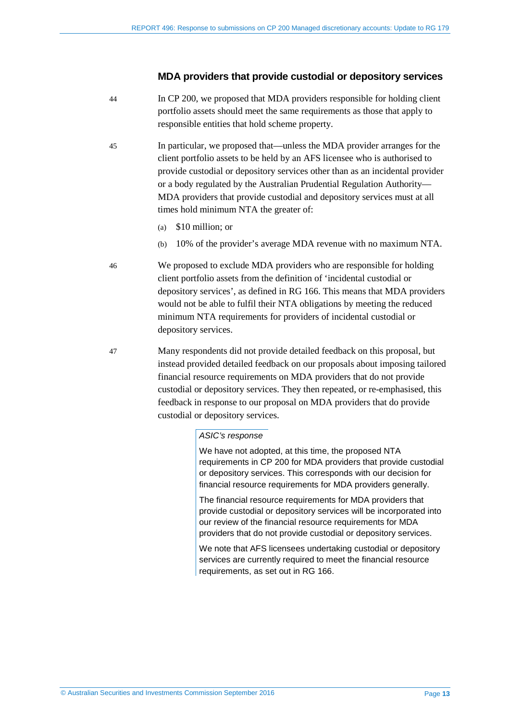#### **MDA providers that provide custodial or depository services**

- 44 In CP 200, we proposed that MDA providers responsible for holding client portfolio assets should meet the same requirements as those that apply to responsible entities that hold scheme property.
- 45 In particular, we proposed that—unless the MDA provider arranges for the client portfolio assets to be held by an AFS licensee who is authorised to provide custodial or depository services other than as an incidental provider or a body regulated by the Australian Prudential Regulation Authority— MDA providers that provide custodial and depository services must at all times hold minimum NTA the greater of:
	- (a) \$10 million; or
	- (b) 10% of the provider's average MDA revenue with no maximum NTA.

46 We proposed to exclude MDA providers who are responsible for holding client portfolio assets from the definition of 'incidental custodial or depository services', as defined in RG 166. This means that MDA providers would not be able to fulfil their NTA obligations by meeting the reduced minimum NTA requirements for providers of incidental custodial or depository services.

47 Many respondents did not provide detailed feedback on this proposal, but instead provided detailed feedback on our proposals about imposing tailored financial resource requirements on MDA providers that do not provide custodial or depository services. They then repeated, or re-emphasised, this feedback in response to our proposal on MDA providers that do provide custodial or depository services.

#### *ASIC's response*

We have not adopted, at this time, the proposed NTA requirements in CP 200 for MDA providers that provide custodial or depository services. This corresponds with our decision for financial resource requirements for MDA providers generally.

The financial resource requirements for MDA providers that provide custodial or depository services will be incorporated into our review of the financial resource requirements for MDA providers that do not provide custodial or depository services.

We note that AFS licensees undertaking custodial or depository services are currently required to meet the financial resource requirements, as set out in RG 166.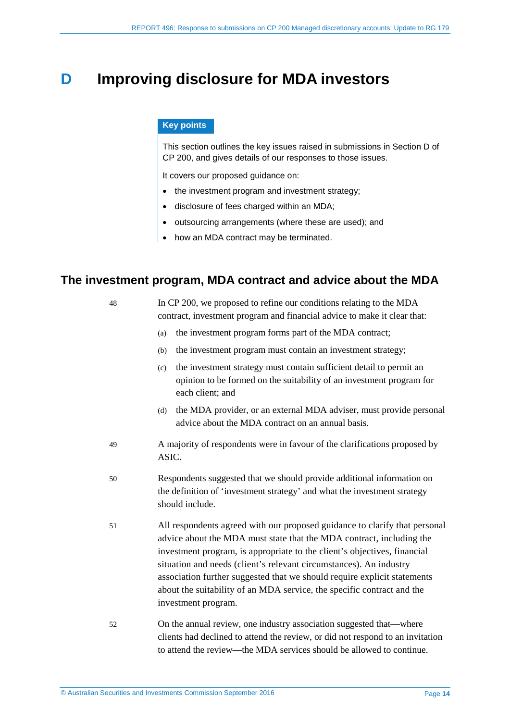# <span id="page-13-0"></span>**D** Improving disclosure for MDA investors

#### **Key points**

This section outlines the key issues raised in submissions in Section D of CP 200, and gives details of our responses to those issues.

It covers our proposed guidance on:

- the investment program and investment strategy;
- disclosure of fees charged within an MDA;
- outsourcing arrangements (where these are used); and
- how an MDA contract may be terminated.

# <span id="page-13-1"></span>**The investment program, MDA contract and advice about the MDA**

| 48 | In CP 200, we proposed to refine our conditions relating to the MDA<br>contract, investment program and financial advice to make it clear that:                                                                                                                                                                                                                                                                                                                                   |
|----|-----------------------------------------------------------------------------------------------------------------------------------------------------------------------------------------------------------------------------------------------------------------------------------------------------------------------------------------------------------------------------------------------------------------------------------------------------------------------------------|
|    | the investment program forms part of the MDA contract;<br>(a)                                                                                                                                                                                                                                                                                                                                                                                                                     |
|    | the investment program must contain an investment strategy;<br>(b)                                                                                                                                                                                                                                                                                                                                                                                                                |
|    | the investment strategy must contain sufficient detail to permit an<br>(c)<br>opinion to be formed on the suitability of an investment program for<br>each client; and                                                                                                                                                                                                                                                                                                            |
|    | the MDA provider, or an external MDA adviser, must provide personal<br>(d)<br>advice about the MDA contract on an annual basis.                                                                                                                                                                                                                                                                                                                                                   |
| 49 | A majority of respondents were in favour of the clarifications proposed by<br>ASIC.                                                                                                                                                                                                                                                                                                                                                                                               |
| 50 | Respondents suggested that we should provide additional information on<br>the definition of 'investment strategy' and what the investment strategy<br>should include.                                                                                                                                                                                                                                                                                                             |
| 51 | All respondents agreed with our proposed guidance to clarify that personal<br>advice about the MDA must state that the MDA contract, including the<br>investment program, is appropriate to the client's objectives, financial<br>situation and needs (client's relevant circumstances). An industry<br>association further suggested that we should require explicit statements<br>about the suitability of an MDA service, the specific contract and the<br>investment program. |
| 52 | On the annual review, one industry association suggested that—where<br>clients had declined to attend the review, or did not respond to an invitation                                                                                                                                                                                                                                                                                                                             |

to attend the review—the MDA services should be allowed to continue.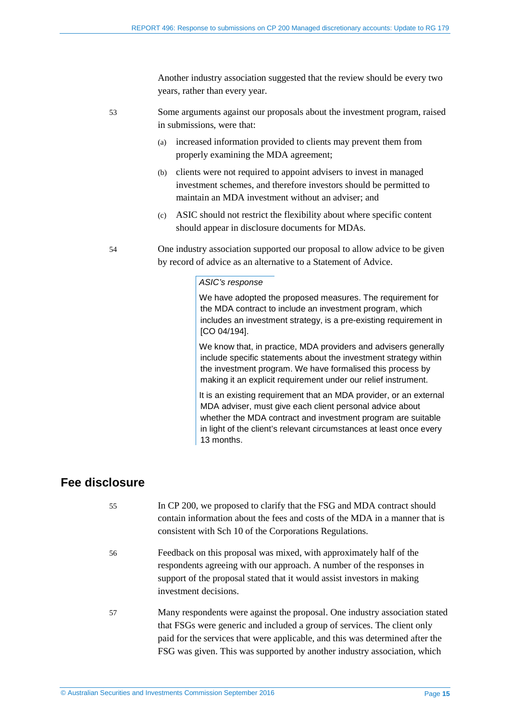Another industry association suggested that the review should be every two years, rather than every year.

- 53 Some arguments against our proposals about the investment program, raised in submissions, were that:
	- (a) increased information provided to clients may prevent them from properly examining the MDA agreement;
	- (b) clients were not required to appoint advisers to invest in managed investment schemes, and therefore investors should be permitted to maintain an MDA investment without an adviser; and
	- (c) ASIC should not restrict the flexibility about where specific content should appear in disclosure documents for MDAs.
- 54 One industry association supported our proposal to allow advice to be given by record of advice as an alternative to a Statement of Advice.

#### *ASIC's response*

We have adopted the proposed measures. The requirement for the MDA contract to include an investment program, which includes an investment strategy, is a pre-existing requirement in [CO 04/194].

We know that, in practice, MDA providers and advisers generally include specific statements about the investment strategy within the investment program. We have formalised this process by making it an explicit requirement under our relief instrument.

It is an existing requirement that an MDA provider, or an external MDA adviser, must give each client personal advice about whether the MDA contract and investment program are suitable in light of the client's relevant circumstances at least once every 13 months.

### <span id="page-14-0"></span>**Fee disclosure**

55 In CP 200, we proposed to clarify that the FSG and MDA contract should contain information about the fees and costs of the MDA in a manner that is consistent with Sch 10 of the Corporations Regulations. 56 Feedback on this proposal was mixed, with approximately half of the respondents agreeing with our approach. A number of the responses in support of the proposal stated that it would assist investors in making investment decisions. 57 Many respondents were against the proposal. One industry association stated that FSGs were generic and included a group of services. The client only paid for the services that were applicable, and this was determined after the FSG was given. This was supported by another industry association, which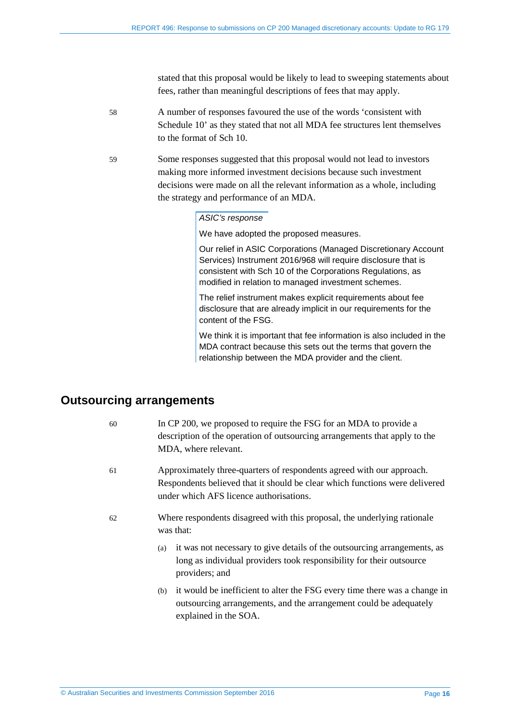stated that this proposal would be likely to lead to sweeping statements about fees, rather than meaningful descriptions of fees that may apply.

- 58 A number of responses favoured the use of the words 'consistent with Schedule 10' as they stated that not all MDA fee structures lent themselves to the format of Sch 10.
- 59 Some responses suggested that this proposal would not lead to investors making more informed investment decisions because such investment decisions were made on all the relevant information as a whole, including the strategy and performance of an MDA.

#### *ASIC's response*

We have adopted the proposed measures.

Our relief in ASIC Corporations (Managed Discretionary Account Services) Instrument 2016/968 will require disclosure that is consistent with Sch 10 of the Corporations Regulations, as modified in relation to managed investment schemes.

The relief instrument makes explicit requirements about fee disclosure that are already implicit in our requirements for the content of the FSG.

We think it is important that fee information is also included in the MDA contract because this sets out the terms that govern the relationship between the MDA provider and the client.

### <span id="page-15-0"></span>**Outsourcing arrangements**

| 60 | In CP 200, we proposed to require the FSG for an MDA to provide a<br>description of the operation of outsourcing arrangements that apply to the<br>MDA, where relevant.                         |
|----|-------------------------------------------------------------------------------------------------------------------------------------------------------------------------------------------------|
| 61 | Approximately three-quarters of respondents agreed with our approach.<br>Respondents believed that it should be clear which functions were delivered<br>under which AFS licence authorisations. |
| 62 | Where respondents disagreed with this proposal, the underlying rationale<br>was that:                                                                                                           |
|    | it was not necessary to give details of the outsourcing arrangements, as<br>(a)<br>long as individual providers took responsibility for their outsource<br>providers; and                       |
|    | it would be inefficient to alter the FSG every time there was a change in<br>(b)<br>outsourcing arrangements, and the arrangement could be adequately<br>explained in the SOA.                  |
|    |                                                                                                                                                                                                 |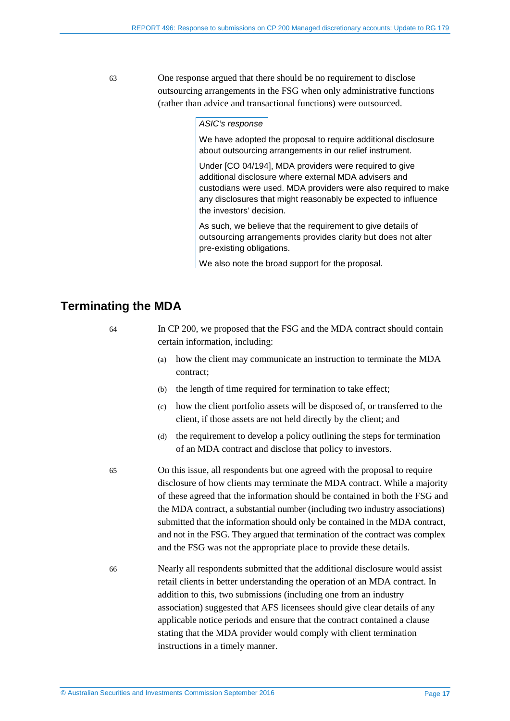63 One response argued that there should be no requirement to disclose outsourcing arrangements in the FSG when only administrative functions (rather than advice and transactional functions) were outsourced.

#### *ASIC's response*

We have adopted the proposal to require additional disclosure about outsourcing arrangements in our relief instrument.

Under [CO 04/194], MDA providers were required to give additional disclosure where external MDA advisers and custodians were used. MDA providers were also required to make any disclosures that might reasonably be expected to influence the investors' decision.

As such, we believe that the requirement to give details of outsourcing arrangements provides clarity but does not alter pre-existing obligations.

We also note the broad support for the proposal.

### <span id="page-16-0"></span>**Terminating the MDA**

| 64 | In CP 200, we proposed that the FSG and the MDA contract should contain<br>certain information, including: |                                                                                 |  |
|----|------------------------------------------------------------------------------------------------------------|---------------------------------------------------------------------------------|--|
|    | (a)                                                                                                        | how the client may communicate an instruction to terminate the MDA<br>contract: |  |
|    | (b)                                                                                                        | the length of time required for termination to take effect;                     |  |

- (c) how the client portfolio assets will be disposed of, or transferred to the client, if those assets are not held directly by the client; and
- (d) the requirement to develop a policy outlining the steps for termination of an MDA contract and disclose that policy to investors.
- 65 On this issue, all respondents but one agreed with the proposal to require disclosure of how clients may terminate the MDA contract. While a majority of these agreed that the information should be contained in both the FSG and the MDA contract, a substantial number (including two industry associations) submitted that the information should only be contained in the MDA contract, and not in the FSG. They argued that termination of the contract was complex and the FSG was not the appropriate place to provide these details.
- 66 Nearly all respondents submitted that the additional disclosure would assist retail clients in better understanding the operation of an MDA contract. In addition to this, two submissions (including one from an industry association) suggested that AFS licensees should give clear details of any applicable notice periods and ensure that the contract contained a clause stating that the MDA provider would comply with client termination instructions in a timely manner.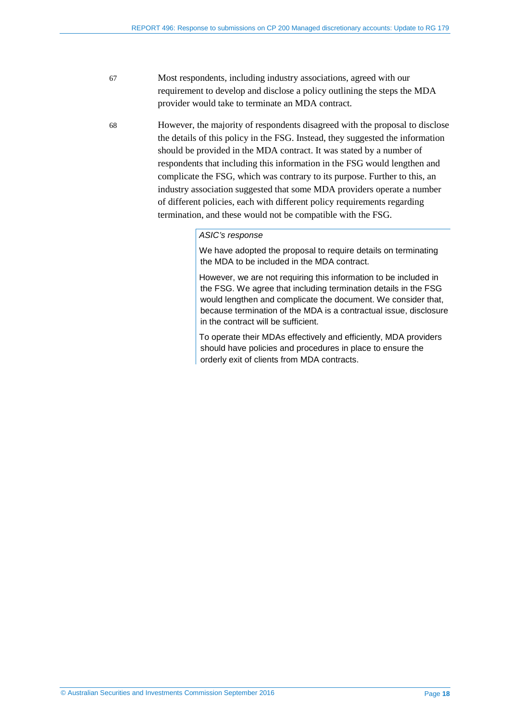67 Most respondents, including industry associations, agreed with our requirement to develop and disclose a policy outlining the steps the MDA provider would take to terminate an MDA contract.

68 However, the majority of respondents disagreed with the proposal to disclose the details of this policy in the FSG. Instead, they suggested the information should be provided in the MDA contract. It was stated by a number of respondents that including this information in the FSG would lengthen and complicate the FSG, which was contrary to its purpose. Further to this, an industry association suggested that some MDA providers operate a number of different policies, each with different policy requirements regarding termination, and these would not be compatible with the FSG.

#### *ASIC's response*

We have adopted the proposal to require details on terminating the MDA to be included in the MDA contract.

However, we are not requiring this information to be included in the FSG. We agree that including termination details in the FSG would lengthen and complicate the document. We consider that, because termination of the MDA is a contractual issue, disclosure in the contract will be sufficient.

To operate their MDAs effectively and efficiently, MDA providers should have policies and procedures in place to ensure the orderly exit of clients from MDA contracts.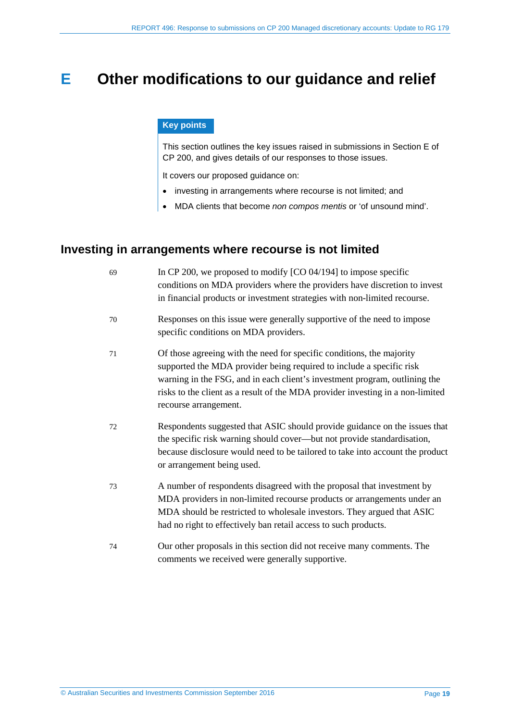# <span id="page-18-0"></span>**E Other modifications to our guidance and relief**

#### **Key points**

This section outlines the key issues raised in submissions in Section E of CP 200, and gives details of our responses to those issues.

It covers our proposed guidance on:

- investing in arrangements where recourse is not limited; and
- MDA clients that become *non compos mentis* or 'of unsound mind'.

# <span id="page-18-1"></span>**Investing in arrangements where recourse is not limited**

| 69 | In CP 200, we proposed to modify $[CO 04/194]$ to impose specific<br>conditions on MDA providers where the providers have discretion to invest<br>in financial products or investment strategies with non-limited recourse.                                                                                                            |
|----|----------------------------------------------------------------------------------------------------------------------------------------------------------------------------------------------------------------------------------------------------------------------------------------------------------------------------------------|
| 70 | Responses on this issue were generally supportive of the need to impose<br>specific conditions on MDA providers.                                                                                                                                                                                                                       |
| 71 | Of those agreeing with the need for specific conditions, the majority<br>supported the MDA provider being required to include a specific risk<br>warning in the FSG, and in each client's investment program, outlining the<br>risks to the client as a result of the MDA provider investing in a non-limited<br>recourse arrangement. |
| 72 | Respondents suggested that ASIC should provide guidance on the issues that<br>the specific risk warning should cover—but not provide standardisation,<br>because disclosure would need to be tailored to take into account the product<br>or arrangement being used.                                                                   |
| 73 | A number of respondents disagreed with the proposal that investment by<br>MDA providers in non-limited recourse products or arrangements under an<br>MDA should be restricted to wholesale investors. They argued that ASIC<br>had no right to effectively ban retail access to such products.                                         |
| 74 | Our other proposals in this section did not receive many comments. The<br>comments we received were generally supportive.                                                                                                                                                                                                              |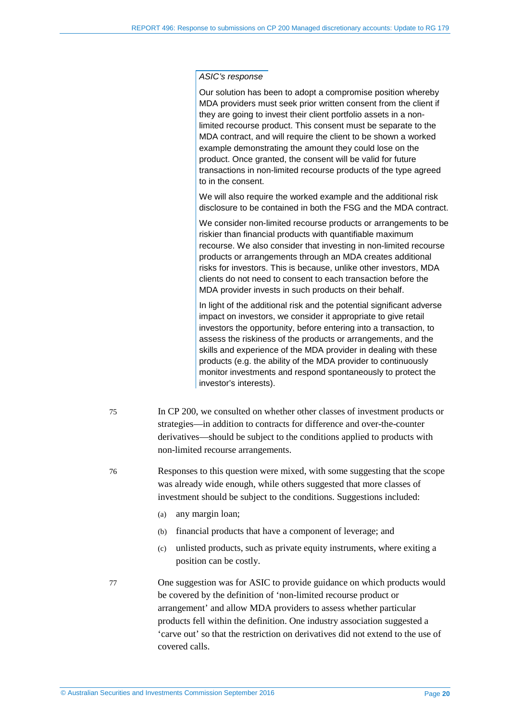Our solution has been to adopt a compromise position whereby MDA providers must seek prior written consent from the client if they are going to invest their client portfolio assets in a nonlimited recourse product. This consent must be separate to the MDA contract, and will require the client to be shown a worked example demonstrating the amount they could lose on the product. Once granted, the consent will be valid for future transactions in non-limited recourse products of the type agreed to in the consent.

We will also require the worked example and the additional risk disclosure to be contained in both the FSG and the MDA contract.

We consider non-limited recourse products or arrangements to be riskier than financial products with quantifiable maximum recourse. We also consider that investing in non-limited recourse products or arrangements through an MDA creates additional risks for investors. This is because, unlike other investors, MDA clients do not need to consent to each transaction before the MDA provider invests in such products on their behalf.

In light of the additional risk and the potential significant adverse impact on investors, we consider it appropriate to give retail investors the opportunity, before entering into a transaction, to assess the riskiness of the products or arrangements, and the skills and experience of the MDA provider in dealing with these products (e.g. the ability of the MDA provider to continuously monitor investments and respond spontaneously to protect the investor's interests).

- 75 In CP 200, we consulted on whether other classes of investment products or strategies—in addition to contracts for difference and over-the-counter derivatives—should be subject to the conditions applied to products with non-limited recourse arrangements.
- 76 Responses to this question were mixed, with some suggesting that the scope was already wide enough, while others suggested that more classes of investment should be subject to the conditions. Suggestions included:
	- (a) any margin loan;
	- (b) financial products that have a component of leverage; and
	- (c) unlisted products, such as private equity instruments, where exiting a position can be costly.
- 77 One suggestion was for ASIC to provide guidance on which products would be covered by the definition of 'non-limited recourse product or arrangement' and allow MDA providers to assess whether particular products fell within the definition. One industry association suggested a 'carve out' so that the restriction on derivatives did not extend to the use of covered calls.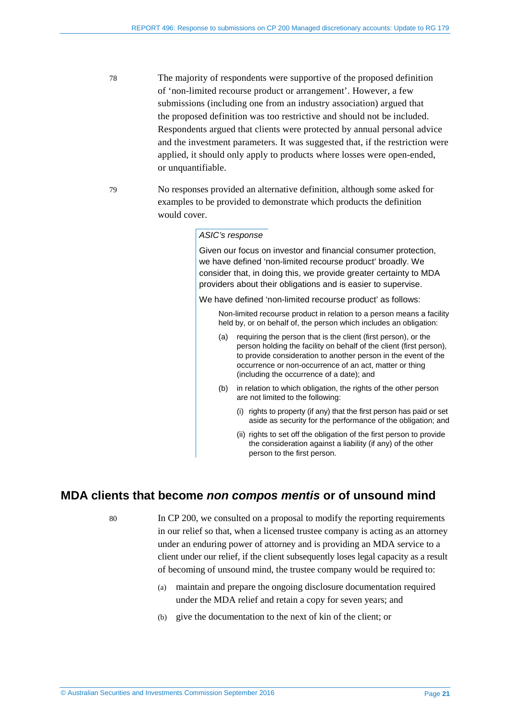- 78 The majority of respondents were supportive of the proposed definition of 'non-limited recourse product or arrangement'. However, a few submissions (including one from an industry association) argued that the proposed definition was too restrictive and should not be included. Respondents argued that clients were protected by annual personal advice and the investment parameters. It was suggested that, if the restriction were applied, it should only apply to products where losses were open-ended, or unquantifiable.
- 79 No responses provided an alternative definition, although some asked for examples to be provided to demonstrate which products the definition would cover.

Given our focus on investor and financial consumer protection, we have defined 'non-limited recourse product' broadly. We consider that, in doing this, we provide greater certainty to MDA providers about their obligations and is easier to supervise.

We have defined 'non-limited recourse product' as follows:

 Non-limited recourse product in relation to a person means a facility held by, or on behalf of, the person which includes an obligation:

- (a) requiring the person that is the client (first person), or the person holding the facility on behalf of the client (first person), to provide consideration to another person in the event of the occurrence or non-occurrence of an act, matter or thing (including the occurrence of a date); and
- (b) in relation to which obligation, the rights of the other person are not limited to the following:
	- (i) rights to property (if any) that the first person has paid or set aside as security for the performance of the obligation; and
	- (ii) rights to set off the obligation of the first person to provide the consideration against a liability (if any) of the other person to the first person.

### <span id="page-20-0"></span>**MDA clients that become** *non compos mentis* **or of unsound mind**

80 In CP 200, we consulted on a proposal to modify the reporting requirements in our relief so that, when a licensed trustee company is acting as an attorney under an enduring power of attorney and is providing an MDA service to a client under our relief, if the client subsequently loses legal capacity as a result of becoming of unsound mind, the trustee company would be required to:

- (a) maintain and prepare the ongoing disclosure documentation required under the MDA relief and retain a copy for seven years; and
- (b) give the documentation to the next of kin of the client; or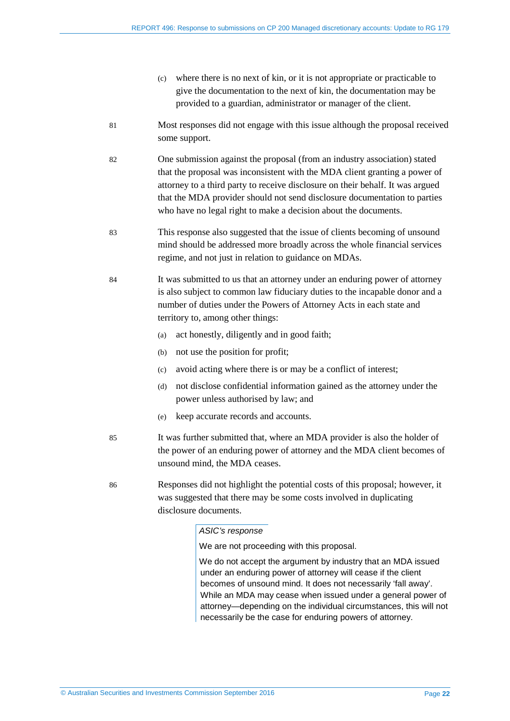- (c) where there is no next of kin, or it is not appropriate or practicable to give the documentation to the next of kin, the documentation may be provided to a guardian, administrator or manager of the client.
- 81 Most responses did not engage with this issue although the proposal received some support.
- 82 One submission against the proposal (from an industry association) stated that the proposal was inconsistent with the MDA client granting a power of attorney to a third party to receive disclosure on their behalf. It was argued that the MDA provider should not send disclosure documentation to parties who have no legal right to make a decision about the documents.
- 83 This response also suggested that the issue of clients becoming of unsound mind should be addressed more broadly across the whole financial services regime, and not just in relation to guidance on MDAs.
- 84 It was submitted to us that an attorney under an enduring power of attorney is also subject to common law fiduciary duties to the incapable donor and a number of duties under the Powers of Attorney Acts in each state and territory to, among other things:
	- (a) act honestly, diligently and in good faith;
	- (b) not use the position for profit;
	- (c) avoid acting where there is or may be a conflict of interest;
	- (d) not disclose confidential information gained as the attorney under the power unless authorised by law; and
	- (e) keep accurate records and accounts.
- 85 It was further submitted that, where an MDA provider is also the holder of the power of an enduring power of attorney and the MDA client becomes of unsound mind, the MDA ceases.
- 86 Responses did not highlight the potential costs of this proposal; however, it was suggested that there may be some costs involved in duplicating disclosure documents.

We are not proceeding with this proposal.

We do not accept the argument by industry that an MDA issued under an enduring power of attorney will cease if the client becomes of unsound mind. It does not necessarily 'fall away'. While an MDA may cease when issued under a general power of attorney—depending on the individual circumstances, this will not necessarily be the case for enduring powers of attorney.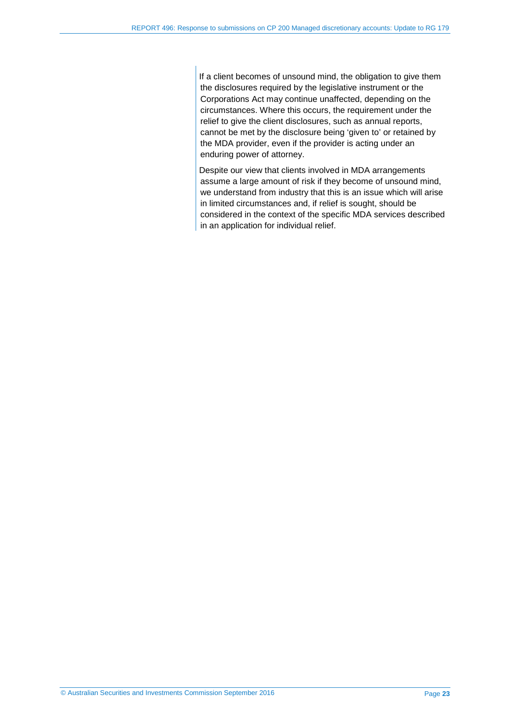If a client becomes of unsound mind, the obligation to give them the disclosures required by the legislative instrument or the Corporations Act may continue unaffected, depending on the circumstances. Where this occurs, the requirement under the relief to give the client disclosures, such as annual reports, cannot be met by the disclosure being 'given to' or retained by the MDA provider, even if the provider is acting under an enduring power of attorney.

Despite our view that clients involved in MDA arrangements assume a large amount of risk if they become of unsound mind, we understand from industry that this is an issue which will arise in limited circumstances and, if relief is sought, should be considered in the context of the specific MDA services described in an application for individual relief.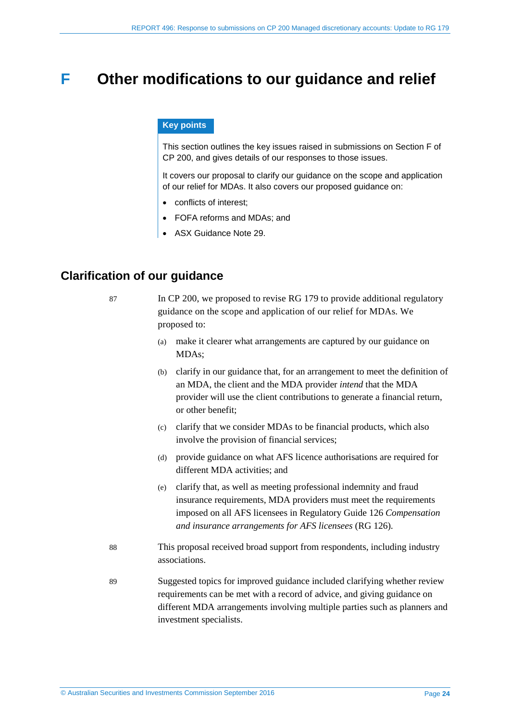# <span id="page-23-0"></span>**F Other modifications to our guidance and relief**

#### **Key points**

This section outlines the key issues raised in submissions on Section F of CP 200, and gives details of our responses to those issues.

It covers our proposal to clarify our guidance on the scope and application of our relief for MDAs. It also covers our proposed guidance on:

- conflicts of interest;
- FOFA reforms and MDAs; and
- ASX Guidance Note 29.

# <span id="page-23-2"></span><span id="page-23-1"></span>**Clarification of our guidance**

87 In CP 200, we proposed to revise RG 179 to provide additional regulatory guidance on the scope and application of our relief for MDAs. We proposed to: (a) make it clearer what arrangements are captured by our guidance on MDAs; (b) clarify in our guidance that, for an arrangement to meet the definition of an MDA, the client and the MDA provider *intend* that the MDA provider will use the client contributions to generate a financial return, or other benefit; (c) clarify that we consider MDAs to be financial products, which also involve the provision of financial services; (d) provide guidance on what AFS licence authorisations are required for different MDA activities; and (e) clarify that, as well as meeting professional indemnity and fraud insurance requirements, MDA providers must meet the requirements imposed on all AFS licensees in Regulatory Guide 126 *Compensation and insurance arrangements for AFS licensees* (RG 126)*.* 88 This proposal received broad support from respondents, including industry associations. 89 Suggested topics for improved guidance included clarifying whether review requirements can be met with a record of advice, and giving guidance on different MDA arrangements involving multiple parties such as planners and investment specialists.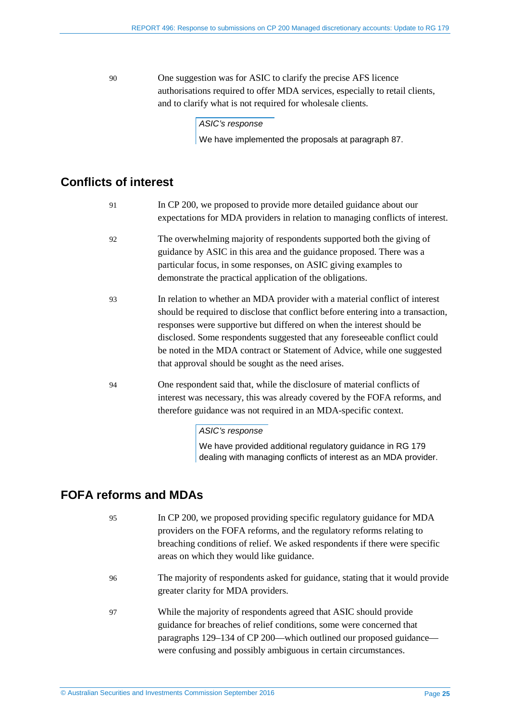90 One suggestion was for ASIC to clarify the precise AFS licence authorisations required to offer MDA services, especially to retail clients, and to clarify what is not required for wholesale clients.

*ASIC's response*

We have implemented the proposals at paragraph [87.](#page-23-2)

# <span id="page-24-0"></span>**Conflicts of interest**

| 91 | In CP 200, we proposed to provide more detailed guidance about our<br>expectations for MDA providers in relation to managing conflicts of interest.                                                                                                                                                                                                                                                                                                     |
|----|---------------------------------------------------------------------------------------------------------------------------------------------------------------------------------------------------------------------------------------------------------------------------------------------------------------------------------------------------------------------------------------------------------------------------------------------------------|
| 92 | The overwhelming majority of respondents supported both the giving of<br>guidance by ASIC in this area and the guidance proposed. There was a<br>particular focus, in some responses, on ASIC giving examples to<br>demonstrate the practical application of the obligations.                                                                                                                                                                           |
| 93 | In relation to whether an MDA provider with a material conflict of interest<br>should be required to disclose that conflict before entering into a transaction,<br>responses were supportive but differed on when the interest should be<br>disclosed. Some respondents suggested that any foreseeable conflict could<br>be noted in the MDA contract or Statement of Advice, while one suggested<br>that approval should be sought as the need arises. |
| 94 | One respondent said that, while the disclosure of material conflicts of<br>interest was necessary, this was already covered by the FOFA reforms, and<br>therefore guidance was not required in an MDA-specific context.<br>ASIC's response                                                                                                                                                                                                              |

We have provided additional regulatory guidance in RG 179 dealing with managing conflicts of interest as an MDA provider.

# <span id="page-24-1"></span>**FOFA reforms and MDAs**

- 95 In CP 200, we proposed providing specific regulatory guidance for MDA providers on the FOFA reforms, and the regulatory reforms relating to breaching conditions of relief. We asked respondents if there were specific areas on which they would like guidance.
- 96 The majority of respondents asked for guidance, stating that it would provide greater clarity for MDA providers.
- 97 While the majority of respondents agreed that ASIC should provide guidance for breaches of relief conditions, some were concerned that paragraphs 129–134 of CP 200—which outlined our proposed guidance were confusing and possibly ambiguous in certain circumstances.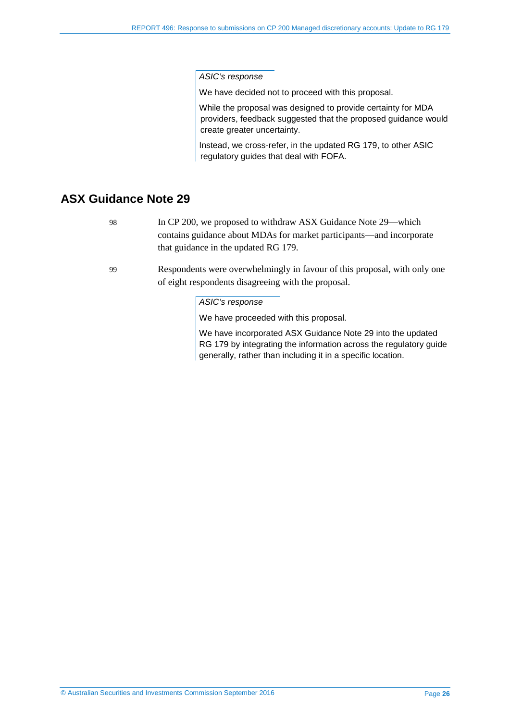We have decided not to proceed with this proposal.

While the proposal was designed to provide certainty for MDA providers, feedback suggested that the proposed guidance would create greater uncertainty.

Instead, we cross-refer, in the updated RG 179, to other ASIC regulatory guides that deal with FOFA.

# <span id="page-25-0"></span>**ASX Guidance Note 29**

98 In CP 200, we proposed to withdraw ASX Guidance Note 29—which contains guidance about MDAs for market participants—and incorporate that guidance in the updated RG 179.

99 Respondents were overwhelmingly in favour of this proposal, with only one of eight respondents disagreeing with the proposal.

#### *ASIC's response*

We have proceeded with this proposal.

We have incorporated ASX Guidance Note 29 into the updated RG 179 by integrating the information across the regulatory guide generally, rather than including it in a specific location.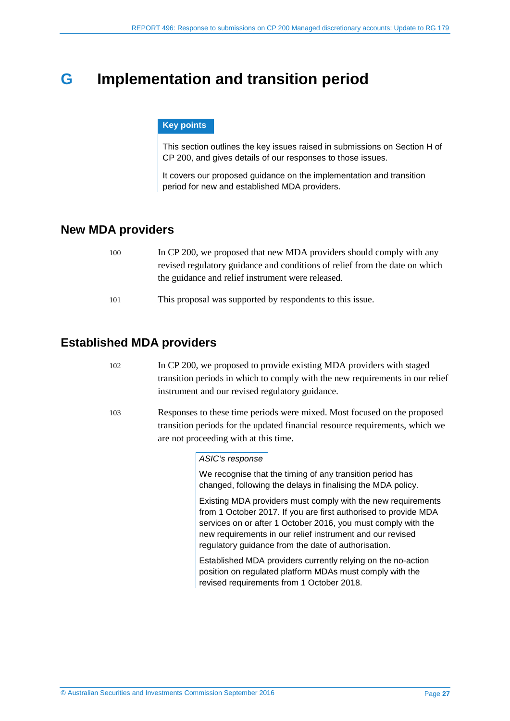# <span id="page-26-0"></span>**G Implementation and transition period**

#### **Key points**

This section outlines the key issues raised in submissions on Section H of CP 200, and gives details of our responses to those issues.

It covers our proposed guidance on the implementation and transition period for new and established MDA providers.

# <span id="page-26-1"></span>**New MDA providers**

| 100 | In CP 200, we proposed that new MDA providers should comply with any        |
|-----|-----------------------------------------------------------------------------|
|     | revised regulatory guidance and conditions of relief from the date on which |
|     | the guidance and relief instrument were released.                           |
| 101 | This proposal was supported by respondents to this issue.                   |

# <span id="page-26-2"></span>**Established MDA providers**

- 102 In CP 200, we proposed to provide existing MDA providers with staged transition periods in which to comply with the new requirements in our relief instrument and our revised regulatory guidance.
	- 103 Responses to these time periods were mixed. Most focused on the proposed transition periods for the updated financial resource requirements, which we are not proceeding with at this time.

#### *ASIC's response*

We recognise that the timing of any transition period has changed, following the delays in finalising the MDA policy.

Existing MDA providers must comply with the new requirements from 1 October 2017. If you are first authorised to provide MDA services on or after 1 October 2016, you must comply with the new requirements in our relief instrument and our revised regulatory guidance from the date of authorisation.

Established MDA providers currently relying on the no-action position on regulated platform MDAs must comply with the revised requirements from 1 October 2018.